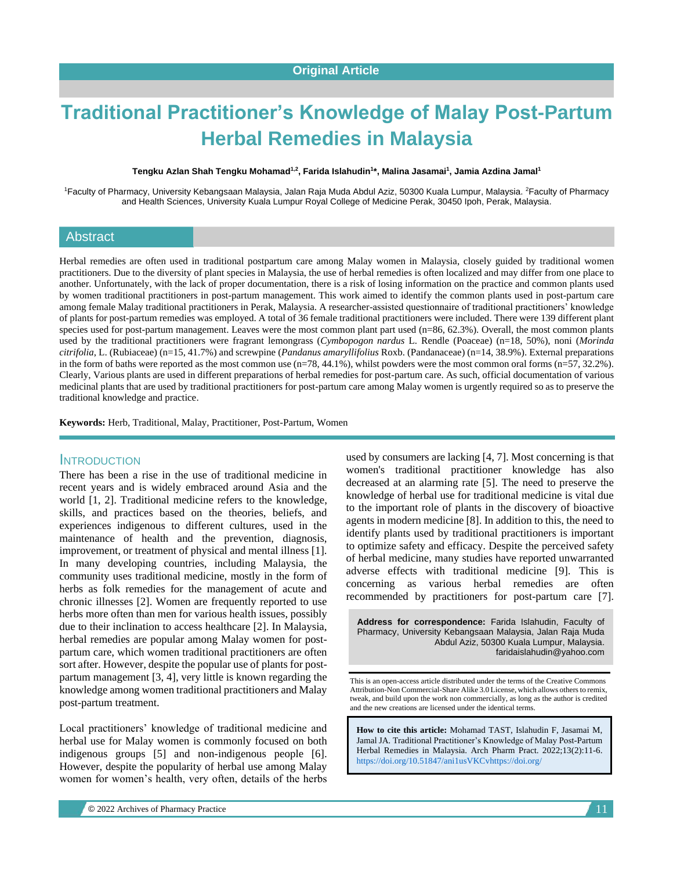# **Traditional Practitioner's Knowledge of Malay Post-Partum Herbal Remedies in Malaysia**

#### **Tengku Azlan Shah Tengku Mohamad1,2, Farida Islahudin<sup>1</sup> \*, Malina Jasamai<sup>1</sup> , Jamia Azdina Jamal<sup>1</sup>**

<sup>1</sup>Faculty of Pharmacy, University Kebangsaan Malaysia, Jalan Raja Muda Abdul Aziz, 50300 Kuala Lumpur, Malaysia. <sup>2</sup>Faculty of Pharmacy and Health Sciences, University Kuala Lumpur Royal College of Medicine Perak, 30450 Ipoh, Perak, Malaysia.

#### Abstract

Herbal remedies are often used in traditional postpartum care among Malay women in Malaysia, closely guided by traditional women practitioners. Due to the diversity of plant species in Malaysia, the use of herbal remedies is often localized and may differ from one place to another. Unfortunately, with the lack of proper documentation, there is a risk of losing information on the practice and common plants used by women traditional practitioners in post-partum management. This work aimed to identify the common plants used in post-partum care among female Malay traditional practitioners in Perak, Malaysia. A researcher-assisted questionnaire of traditional practitioners' knowledge of plants for post-partum remedies was employed. A total of 36 female traditional practitioners were included. There were 139 different plant species used for post-partum management. Leaves were the most common plant part used (n=86, 62.3%). Overall, the most common plants used by the traditional practitioners were fragrant lemongrass (*Cymbopogon nardus* L. Rendle (Poaceae) (n=18, 50%), noni (*Morinda citrifolia*, L. (Rubiaceae) (n=15, 41.7%) and screwpine (*Pandanus amaryllifolius* Roxb. (Pandanaceae) (n=14, 38.9%). External preparations in the form of baths were reported as the most common use (n=78, 44.1%), whilst powders were the most common oral forms (n=57, 32.2%). Clearly, Various plants are used in different preparations of herbal remedies for post-partum care. As such, official documentation of various medicinal plants that are used by traditional practitioners for post-partum care among Malay women is urgently required so as to preserve the traditional knowledge and practice.

**Keywords:** Herb, Traditional, Malay, Practitioner, Post-Partum, Women

#### **INTRODUCTION**

There has been a rise in the use of traditional medicine in recent years and is widely embraced around Asia and the world [1, 2]. Traditional medicine refers to the knowledge, skills, and practices based on the theories, beliefs, and experiences indigenous to different cultures, used in the maintenance of health and the prevention, diagnosis, improvement, or treatment of physical and mental illness [1]. In many developing countries, including Malaysia, the community uses traditional medicine, mostly in the form of herbs as folk remedies for the management of acute and chronic illnesses [2]. Women are frequently reported to use herbs more often than men for various health issues, possibly due to their inclination to access healthcare [2]. In Malaysia, herbal remedies are popular among Malay women for postpartum care, which women traditional practitioners are often sort after. However, despite the popular use of plants for postpartum management [3, 4], very little is known regarding the knowledge among women traditional practitioners and Malay post-partum treatment.

Local practitioners' knowledge of traditional medicine and herbal use for Malay women is commonly focused on both indigenous groups [5] and non-indigenous people [6]. However, despite the popularity of herbal use among Malay women for women's health, very often, details of the herbs used by consumers are lacking [4, 7]. Most concerning is that women's traditional practitioner knowledge has also decreased at an alarming rate [5]. The need to preserve the knowledge of herbal use for traditional medicine is vital due to the important role of plants in the discovery of bioactive agents in modern medicine [8]. In addition to this, the need to identify plants used by traditional practitioners is important to optimize safety and efficacy. Despite the perceived safety of herbal medicine, many studies have reported unwarranted adverse effects with traditional medicine [9]. This is concerning as various herbal remedies are often recommended by practitioners for post-partum care [7].

**Address for correspondence:** Farida Islahudin, Faculty of Pharmacy, University Kebangsaan Malaysia, Jalan Raja Muda Abdul Aziz, 50300 Kuala Lumpur, Malaysia. faridaislahudin@yahoo.com

This is an open-access article distributed under the terms of the Creative Commons Attribution-Non Commercial-Share Alike 3.0 License, which allows others to remix, tweak, and build upon the work non commercially, as long as the author is credited and the new creations are licensed under the identical terms.

**How to cite this article:** Mohamad TAST, Islahudin F, Jasamai M, Jamal JA*.* Traditional Practitioner's Knowledge of Malay Post-Partum Herbal Remedies in Malaysia. Arch Pharm Pract. 2022;13(2):11-6. <https://doi.org/10.51847/ani1usVKCv><https://doi.org/>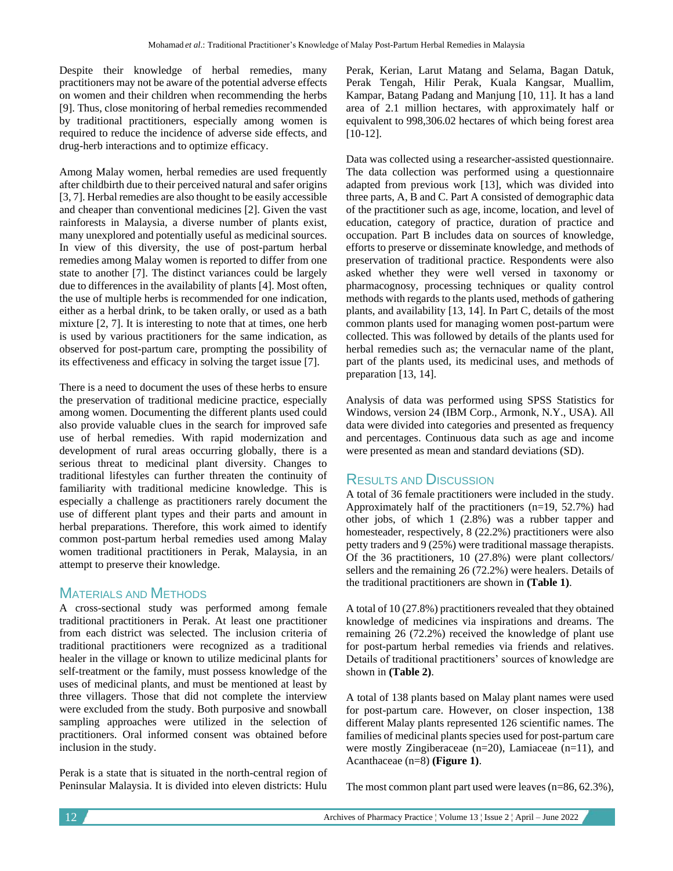Despite their knowledge of herbal remedies, many practitioners may not be aware of the potential adverse effects on women and their children when recommending the herbs [9]. Thus, close monitoring of herbal remedies recommended by traditional practitioners, especially among women is required to reduce the incidence of adverse side effects, and drug-herb interactions and to optimize efficacy.

Among Malay women, herbal remedies are used frequently after childbirth due to their perceived natural and safer origins [3, 7]. Herbal remedies are also thought to be easily accessible and cheaper than conventional medicines [2]. Given the vast rainforests in Malaysia, a diverse number of plants exist, many unexplored and potentially useful as medicinal sources. In view of this diversity, the use of post-partum herbal remedies among Malay women is reported to differ from one state to another [7]. The distinct variances could be largely due to differences in the availability of plants [4]. Most often, the use of multiple herbs is recommended for one indication, either as a herbal drink, to be taken orally, or used as a bath mixture [2, 7]. It is interesting to note that at times, one herb is used by various practitioners for the same indication, as observed for post-partum care, prompting the possibility of its effectiveness and efficacy in solving the target issue [7].

There is a need to document the uses of these herbs to ensure the preservation of traditional medicine practice, especially among women. Documenting the different plants used could also provide valuable clues in the search for improved safe use of herbal remedies. With rapid modernization and development of rural areas occurring globally, there is a serious threat to medicinal plant diversity. Changes to traditional lifestyles can further threaten the continuity of familiarity with traditional medicine knowledge. This is especially a challenge as practitioners rarely document the use of different plant types and their parts and amount in herbal preparations. Therefore, this work aimed to identify common post-partum herbal remedies used among Malay women traditional practitioners in Perak, Malaysia, in an attempt to preserve their knowledge.

## MATERIALS AND METHODS

A cross-sectional study was performed among female traditional practitioners in Perak. At least one practitioner from each district was selected. The inclusion criteria of traditional practitioners were recognized as a traditional healer in the village or known to utilize medicinal plants for self-treatment or the family, must possess knowledge of the uses of medicinal plants, and must be mentioned at least by three villagers. Those that did not complete the interview were excluded from the study. Both purposive and snowball sampling approaches were utilized in the selection of practitioners. Oral informed consent was obtained before inclusion in the study.

Perak is a state that is situated in the north-central region of Peninsular Malaysia. It is divided into eleven districts: Hulu

Perak, Kerian, Larut Matang and Selama, Bagan Datuk, Perak Tengah, Hilir Perak, Kuala Kangsar, Muallim, Kampar, Batang Padang and Manjung [10, 11]. It has a land area of 2.1 million hectares, with approximately half or equivalent to 998,306.02 hectares of which being forest area [10-12].

Data was collected using a researcher-assisted questionnaire. The data collection was performed using a questionnaire adapted from previous work [13], which was divided into three parts, A, B and C. Part A consisted of demographic data of the practitioner such as age, income, location, and level of education, category of practice, duration of practice and occupation. Part B includes data on sources of knowledge, efforts to preserve or disseminate knowledge, and methods of preservation of traditional practice. Respondents were also asked whether they were well versed in taxonomy or pharmacognosy, processing techniques or quality control methods with regards to the plants used, methods of gathering plants, and availability [13, 14]. In Part C, details of the most common plants used for managing women post-partum were collected. This was followed by details of the plants used for herbal remedies such as; the vernacular name of the plant, part of the plants used, its medicinal uses, and methods of preparation [13, 14].

Analysis of data was performed using SPSS Statistics for Windows, version 24 (IBM Corp., Armonk, N.Y., USA). All data were divided into categories and presented as frequency and percentages. Continuous data such as age and income were presented as mean and standard deviations (SD).

## RESULTS AND DISCUSSION

A total of 36 female practitioners were included in the study. Approximately half of the practitioners (n=19, 52.7%) had other jobs, of which 1 (2.8%) was a rubber tapper and homesteader, respectively, 8 (22.2%) practitioners were also petty traders and 9 (25%) were traditional massage therapists. Of the 36 practitioners, 10 (27.8%) were plant collectors/ sellers and the remaining 26 (72.2%) were healers. Details of the traditional practitioners are shown in **(Table 1)**.

A total of 10 (27.8%) practitioners revealed that they obtained knowledge of medicines via inspirations and dreams. The remaining 26 (72.2%) received the knowledge of plant use for post-partum herbal remedies via friends and relatives. Details of traditional practitioners' sources of knowledge are shown in **(Table 2)**.

A total of 138 plants based on Malay plant names were used for post-partum care. However, on closer inspection, 138 different Malay plants represented 126 scientific names. The families of medicinal plants species used for post-partum care were mostly Zingiberaceae (n=20), Lamiaceae (n=11), and Acanthaceae (n=8) **(Figure 1)**.

The most common plant part used were leaves (n=86, 62.3%),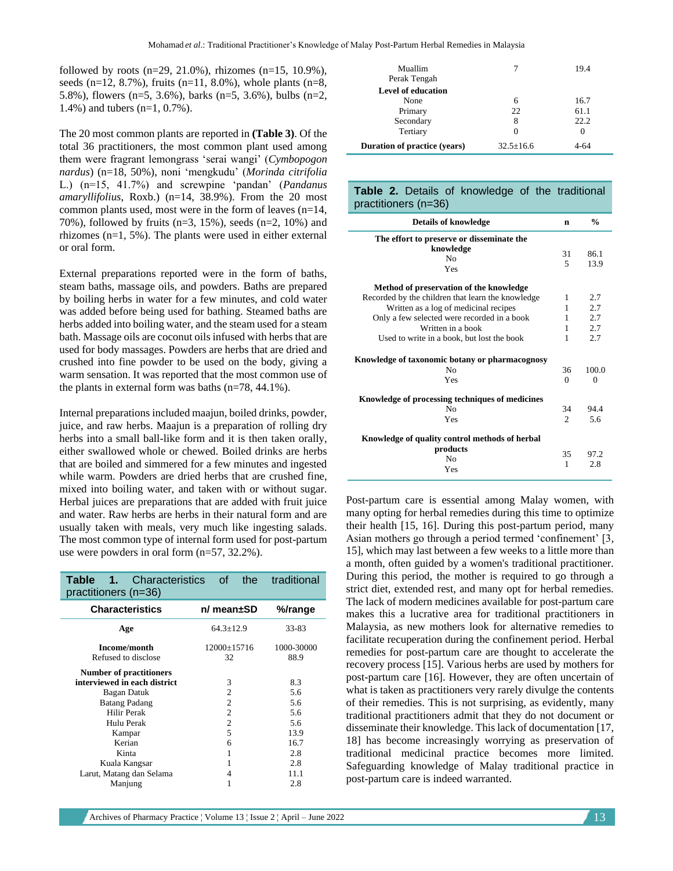followed by roots  $(n=29, 21.0\%)$ , rhizomes  $(n=15, 10.9\%)$ , seeds (n=12, 8.7%), fruits (n=11, 8.0%), whole plants (n=8, 5.8%), flowers (n=5, 3.6%), barks (n=5, 3.6%), bulbs (n=2, 1.4%) and tubers (n=1, 0.7%).

The 20 most common plants are reported in **(Table 3)**. Of the total 36 practitioners, the most common plant used among them were fragrant lemongrass 'serai wangi' (*Cymbopogon nardus*) (n=18, 50%), noni 'mengkudu' (*Morinda citrifolia* L.) (n=15, 41.7%) and screwpine 'pandan' (*Pandanus amaryllifolius*, Roxb.) (n=14, 38.9%). From the 20 most common plants used, most were in the form of leaves (n=14, 70%), followed by fruits (n=3, 15%), seeds (n=2, 10%) and rhizomes (n=1, 5%). The plants were used in either external or oral form.

External preparations reported were in the form of baths, steam baths, massage oils, and powders. Baths are prepared by boiling herbs in water for a few minutes, and cold water was added before being used for bathing. Steamed baths are herbs added into boiling water, and the steam used for a steam bath. Massage oils are coconut oils infused with herbs that are used for body massages. Powders are herbs that are dried and crushed into fine powder to be used on the body, giving a warm sensation. It was reported that the most common use of the plants in external form was baths (n=78, 44.1%).

Internal preparations included maajun, boiled drinks, powder, juice, and raw herbs. Maajun is a preparation of rolling dry herbs into a small ball-like form and it is then taken orally, either swallowed whole or chewed. Boiled drinks are herbs that are boiled and simmered for a few minutes and ingested while warm. Powders are dried herbs that are crushed fine, mixed into boiling water, and taken with or without sugar. Herbal juices are preparations that are added with fruit juice and water. Raw herbs are herbs in their natural form and are usually taken with meals, very much like ingesting salads. The most common type of internal form used for post-partum use were powders in oral form (n=57, 32.2%).

| Characteristics<br>Table 1.<br>practitioners (n=36)            |                                  | of the traditional |  |  |
|----------------------------------------------------------------|----------------------------------|--------------------|--|--|
| <b>Characteristics</b>                                         | n/ mean±SD                       | %/range            |  |  |
| Age                                                            | $64.3 \pm 12.9$                  | 33-83              |  |  |
| Income/month<br>Refused to disclose                            | $12000 \pm 15716$<br>32          | 1000-30000<br>88.9 |  |  |
| <b>Number of practitioners</b><br>interviewed in each district | 3                                | 8.3                |  |  |
| Bagan Datuk<br><b>Batang Padang</b>                            | $\overline{2}$<br>$\overline{2}$ | 5.6<br>5.6         |  |  |
| Hilir Perak<br>Hulu Perak                                      | $\overline{2}$<br>$\overline{2}$ | 5.6<br>5.6         |  |  |
| Kampar<br>Kerian                                               | 5<br>6                           | 13.9<br>16.7       |  |  |
| Kinta<br>Kuala Kangsar                                         |                                  | 2.8<br>2.8         |  |  |
| Larut, Matang dan Selama<br>Manjung                            | 4                                | 11.1<br>2.8        |  |  |

| Muallim<br>Perak Tengah      |               | 19.4 |
|------------------------------|---------------|------|
| <b>Level of education</b>    |               |      |
| None                         | 6             | 16.7 |
| Primary                      | 22            | 61.1 |
| Secondary                    | 8             | 22.2 |
| Tertiary                     |               | 0    |
| Duration of practice (years) | $32.5 + 16.6$ | 4-64 |

#### **Table 2.** Details of knowledge of the traditional practitioners (n=36)

| <b>Details of knowledge</b>                       | n                             | $\frac{0}{0}$ |
|---------------------------------------------------|-------------------------------|---------------|
| The effort to preserve or disseminate the         |                               |               |
| knowledge<br>N <sub>0</sub>                       | 31<br>5                       | 86.1          |
| Yes                                               |                               | 13.9          |
| Method of preservation of the knowledge           |                               |               |
| Recorded by the children that learn the knowledge | 1                             | 2.7           |
| Written as a log of medicinal recipes             | 1                             | 2.7           |
| Only a few selected were recorded in a book       | 1                             | 2.7           |
| Written in a book                                 | 1                             | 2.7           |
| Used to write in a book, but lost the book        | 1                             | 2.7           |
| Knowledge of taxonomic botany or pharmacognosy    |                               |               |
| Nο                                                | 36                            | 100.0         |
| Yes                                               | $\Omega$                      | $\Omega$      |
| Knowledge of processing techniques of medicines   |                               |               |
| N <sub>0</sub>                                    | 34                            | 94.4          |
| Yes                                               | $\mathfrak{D}_{\mathfrak{p}}$ | 5.6           |
| Knowledge of quality control methods of herbal    |                               |               |
| products                                          | 35                            | 97.2          |
| N <sub>0</sub>                                    | 1                             | 2.8           |
| Yes                                               |                               |               |

Post-partum care is essential among Malay women, with many opting for herbal remedies during this time to optimize their health [15, 16]. During this post-partum period, many Asian mothers go through a period termed 'confinement' [3, 15], which may last between a few weeks to a little more than a month, often guided by a women's traditional practitioner. During this period, the mother is required to go through a strict diet, extended rest, and many opt for herbal remedies. The lack of modern medicines available for post-partum care makes this a lucrative area for traditional practitioners in Malaysia, as new mothers look for alternative remedies to facilitate recuperation during the confinement period. Herbal remedies for post-partum care are thought to accelerate the recovery process [15]. Various herbs are used by mothers for post-partum care [16]. However, they are often uncertain of what is taken as practitioners very rarely divulge the contents of their remedies. This is not surprising, as evidently, many traditional practitioners admit that they do not document or disseminate their knowledge. This lack of documentation [17, 18] has become increasingly worrying as preservation of traditional medicinal practice becomes more limited. Safeguarding knowledge of Malay traditional practice in post-partum care is indeed warranted.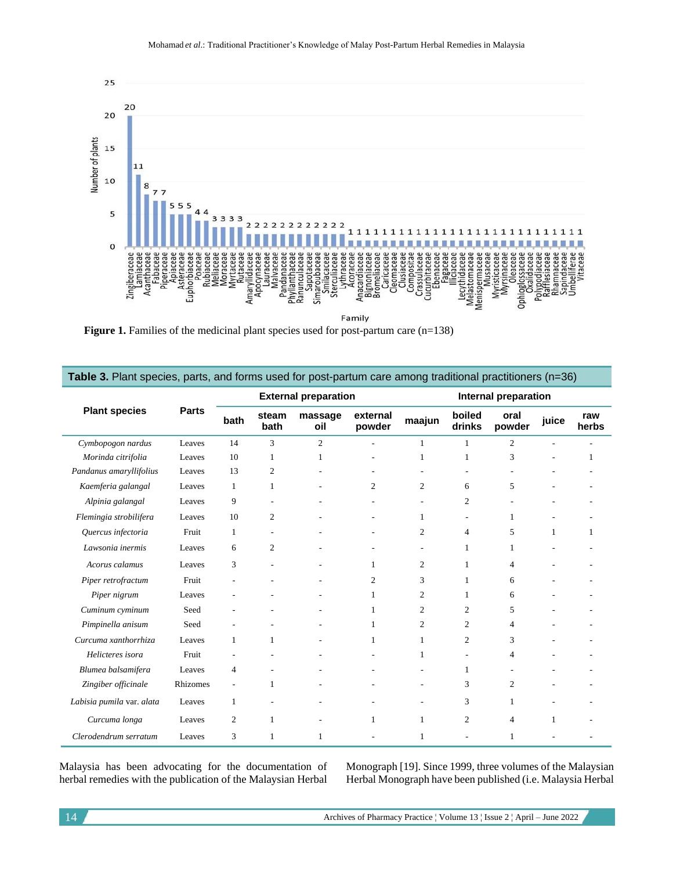

Figure 1. Families of the medicinal plant species used for post-partum care (n=138)

| Table 3. Plant species, parts, and forms used for post-partum care among traditional practitioners (n=36) |              |                             |                |                |                      |                |                  |                |              |              |
|-----------------------------------------------------------------------------------------------------------|--------------|-----------------------------|----------------|----------------|----------------------|----------------|------------------|----------------|--------------|--------------|
| <b>Plant species</b>                                                                                      | <b>Parts</b> | <b>External preparation</b> |                |                | Internal preparation |                |                  |                |              |              |
|                                                                                                           |              | bath                        | steam<br>bath  | massage<br>oil | external<br>powder   | maajun         | boiled<br>drinks | oral<br>powder | juice        | raw<br>herbs |
| Cymbopogon nardus                                                                                         | Leaves       | 14                          | 3              | $\overline{2}$ |                      | 1              |                  | $\overline{c}$ |              |              |
| Morinda citrifolia                                                                                        | Leaves       | 10                          | 1              | 1              |                      | 1              | 1                | 3              |              | 1            |
| Pandanus amaryllifolius                                                                                   | Leaves       | 13                          | 2              |                |                      |                |                  |                |              |              |
| Kaemferia galangal                                                                                        | Leaves       | $\mathbf{1}$                | 1              |                | $\overline{c}$       | $\overline{c}$ | 6                | 5              |              |              |
| Alpinia galangal                                                                                          | Leaves       | 9                           |                |                |                      |                | 2                |                |              |              |
| Flemingia strobilifera                                                                                    | Leaves       | 10                          | $\overline{c}$ |                |                      | 1              |                  | 1              |              |              |
| Quercus infectoria                                                                                        | Fruit        | $\mathbf{1}$                |                |                |                      | 2              | 4                | 5              | $\mathbf{1}$ | 1            |
| Lawsonia inermis                                                                                          | Leaves       | 6                           | 2              |                |                      |                | 1                | 1              |              |              |
| Acorus calamus                                                                                            | Leaves       | 3                           |                |                | 1                    | 2              |                  | $\overline{4}$ |              |              |
| Piper retrofractum                                                                                        | Fruit        |                             |                |                | 2                    | 3              |                  | 6              |              |              |
| Piper nigrum                                                                                              | Leaves       |                             |                |                | 1                    | 2              |                  | 6              |              |              |
| Cuminum cyminum                                                                                           | Seed         |                             |                |                | 1                    | 2              | 2                | 5              |              |              |
| Pimpinella anisum                                                                                         | Seed         |                             |                |                | 1                    | $\overline{c}$ | 2                | 4              |              |              |
| Curcuma xanthorrhiza                                                                                      | Leaves       | $\mathbf{1}$                | 1              |                | 1                    | 1              | 2                | 3              |              |              |
| Helicteres isora                                                                                          | Fruit        |                             |                |                |                      | 1              |                  | 4              |              |              |
| Blumea balsamifera                                                                                        | Leaves       | 4                           |                |                |                      |                |                  |                |              |              |
| Zingiber officinale                                                                                       | Rhizomes     | $\overline{\phantom{a}}$    | 1              |                |                      |                | 3                | $\overline{c}$ |              |              |
| Labisia pumila var. alata                                                                                 | Leaves       | $\mathbf{1}$                |                |                |                      |                | 3                | 1              |              |              |
| Curcuma longa                                                                                             | Leaves       | 2                           | 1              |                | 1                    | 1              | 2                | $\overline{4}$ | 1            |              |
| Clerodendrum serratum                                                                                     | Leaves       | 3                           | 1              | $\mathbf{1}$   |                      | $\mathbf{1}$   |                  | 1              |              |              |

Malaysia has been advocating for the documentation of herbal remedies with the publication of the Malaysian Herbal

Monograph [19]. Since 1999, three volumes of the Malaysian Herbal Monograph have been published (i.e. Malaysia Herbal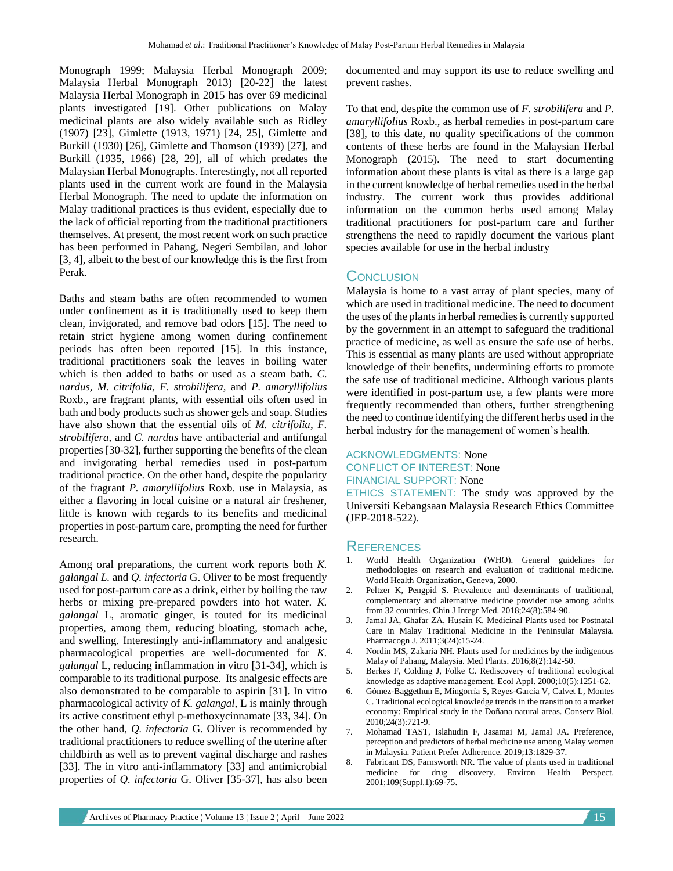Monograph 1999; Malaysia Herbal Monograph 2009; Malaysia Herbal Monograph 2013) [20-22] the latest Malaysia Herbal Monograph in 2015 has over 69 medicinal plants investigated [19]. Other publications on Malay medicinal plants are also widely available such as Ridley (1907) [23], Gimlette (1913, 1971) [24, 25], Gimlette and Burkill (1930) [26], Gimlette and Thomson (1939) [27], and Burkill (1935, 1966) [28, 29], all of which predates the Malaysian Herbal Monographs. Interestingly, not all reported plants used in the current work are found in the Malaysia Herbal Monograph. The need to update the information on Malay traditional practices is thus evident, especially due to the lack of official reporting from the traditional practitioners themselves. At present, the most recent work on such practice has been performed in Pahang, Negeri Sembilan, and Johor [3, 4], albeit to the best of our knowledge this is the first from Perak.

Baths and steam baths are often recommended to women under confinement as it is traditionally used to keep them clean, invigorated, and remove bad odors [15]. The need to retain strict hygiene among women during confinement periods has often been reported [15]. In this instance, traditional practitioners soak the leaves in boiling water which is then added to baths or used as a steam bath. *C. nardus, M. citrifolia, F. strobilifera,* and *P. amaryllifolius* Roxb., are fragrant plants, with essential oils often used in bath and body products such as shower gels and soap. Studies have also shown that the essential oils of *M. citrifolia*, *F. strobilifera,* and *C. nardus* have antibacterial and antifungal properties [30-32], further supporting the benefits of the clean and invigorating herbal remedies used in post-partum traditional practice. On the other hand, despite the popularity of the fragrant *P. amaryllifolius* Roxb. use in Malaysia, as either a flavoring in local cuisine or a natural air freshener, little is known with regards to its benefits and medicinal properties in post-partum care, prompting the need for further research.

Among oral preparations, the current work reports both *K. galangal L.* and *Q. infectoria* G. Oliver to be most frequently used for post-partum care as a drink, either by boiling the raw herbs or mixing pre-prepared powders into hot water. *K. galangal* L, aromatic ginger, is touted for its medicinal properties, among them, reducing bloating, stomach ache, and swelling. Interestingly anti-inflammatory and analgesic pharmacological properties are well-documented for *K. galangal* L, reducing inflammation in vitro [31-34], which is comparable to its traditional purpose. Its analgesic effects are also demonstrated to be comparable to aspirin [31]. In vitro pharmacological activity of *K. galangal,* L is mainly through its active constituent ethyl p-methoxycinnamate [33, 34]. On the other hand, *Q. infectoria* G. Oliver is recommended by traditional practitioners to reduce swelling of the uterine after childbirth as well as to prevent vaginal discharge and rashes [33]. The in vitro anti-inflammatory [33] and antimicrobial properties of *Q. infectoria* G. Oliver [35-37], has also been

documented and may support its use to reduce swelling and prevent rashes.

To that end, despite the common use of *F. strobilifera* and *P. amaryllifolius* Roxb., as herbal remedies in post-partum care [38], to this date, no quality specifications of the common contents of these herbs are found in the Malaysian Herbal Monograph (2015). The need to start documenting information about these plants is vital as there is a large gap in the current knowledge of herbal remedies used in the herbal industry. The current work thus provides additional information on the common herbs used among Malay traditional practitioners for post-partum care and further strengthens the need to rapidly document the various plant species available for use in the herbal industry

## **CONCLUSION**

Malaysia is home to a vast array of plant species, many of which are used in traditional medicine. The need to document the uses of the plants in herbal remedies is currently supported by the government in an attempt to safeguard the traditional practice of medicine, as well as ensure the safe use of herbs. This is essential as many plants are used without appropriate knowledge of their benefits, undermining efforts to promote the safe use of traditional medicine. Although various plants were identified in post-partum use, a few plants were more frequently recommended than others, further strengthening the need to continue identifying the different herbs used in the herbal industry for the management of women's health.

## ACKNOWLEDGMENTS: None CONFLICT OF INTEREST: None FINANCIAL SUPPORT: None

ETHICS STATEMENT: The study was approved by the Universiti Kebangsaan Malaysia Research Ethics Committee (JEP-2018-522).

### **REFERENCES**

- 1. World Health Organization (WHO). General guidelines for methodologies on research and evaluation of traditional medicine. World Health Organization, Geneva, 2000.
- 2. Peltzer K, Pengpid S. Prevalence and determinants of traditional, complementary and alternative medicine provider use among adults from 32 countries. Chin J Integr Med. 2018;24(8):584-90.
- 3. Jamal JA, Ghafar ZA, Husain K. Medicinal Plants used for Postnatal Care in Malay Traditional Medicine in the Peninsular Malaysia. Pharmacogn J. 2011;3(24):15-24.
- 4. Nordin MS, Zakaria NH. Plants used for medicines by the indigenous Malay of Pahang, Malaysia. Med Plants. 2016;8(2):142-50.
- 5. Berkes F, Colding J, Folke C. Rediscovery of traditional ecological knowledge as adaptive management. Ecol Appl. 2000;10(5):1251-62.
- 6. Gómez-Baggethun E, Mingorría S, Reyes-García V, Calvet L, Montes C. Traditional ecological knowledge trends in the transition to a market economy: Empirical study in the Doñana natural areas. Conserv Biol. 2010;24(3):721-9.
- 7. Mohamad TAST, Islahudin F, Jasamai M, Jamal JA. Preference, perception and predictors of herbal medicine use among Malay women in Malaysia. Patient Prefer Adherence. 2019;13:1829-37.
- 8. Fabricant DS, Farnsworth NR. The value of plants used in traditional medicine for drug discovery. Environ Health Perspect. 2001;109(Suppl.1):69-75.